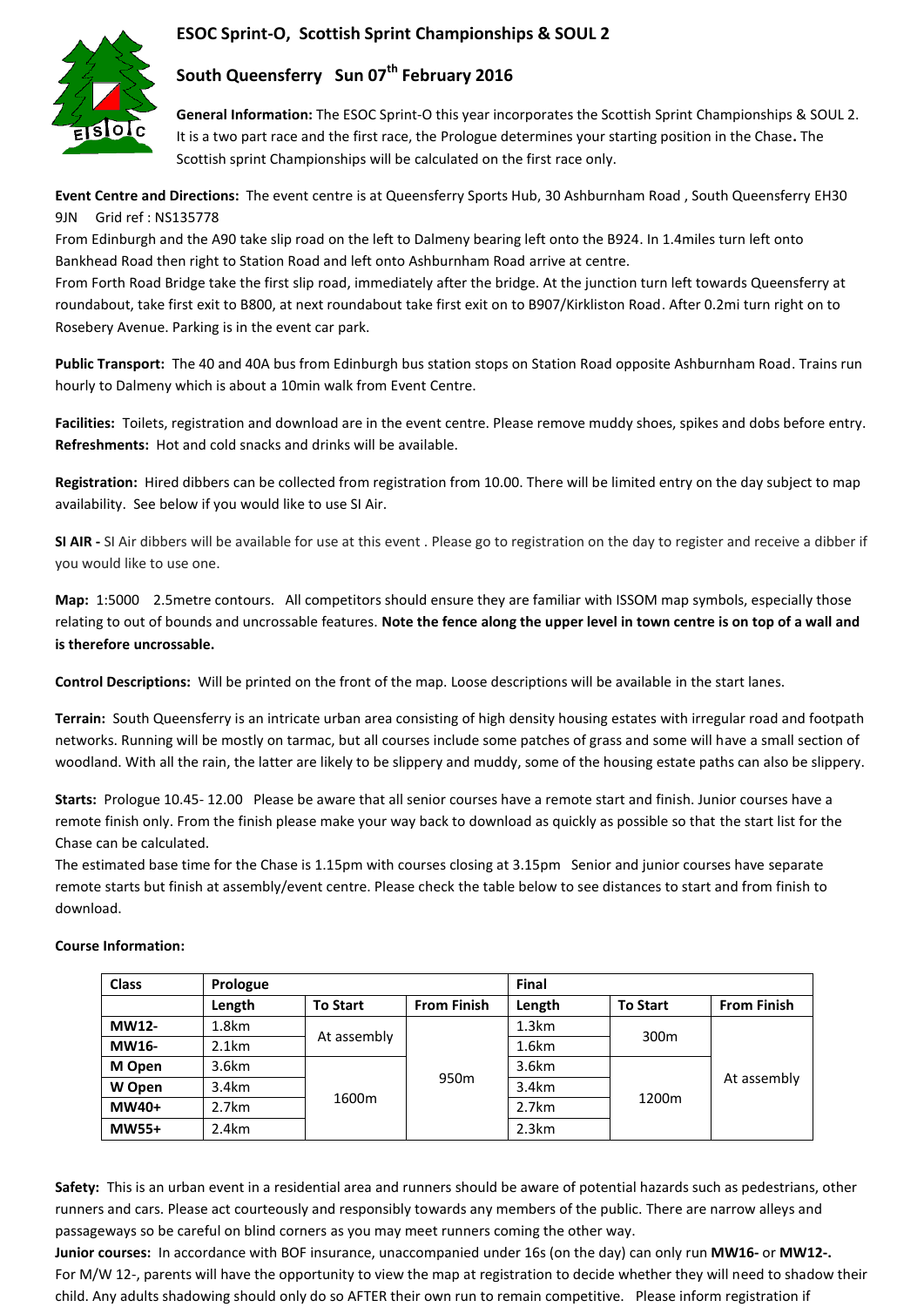## **ESOC Sprint-O, Scottish Sprint Championships & SOUL 2**



# **South Queensferry Sun 07th February 2016**

**General Information:** The ESOC Sprint-O this year incorporates the Scottish Sprint Championships & SOUL 2. It is a two part race and the first race, the Prologue determines your starting position in the Chase**.** The Scottish sprint Championships will be calculated on the first race only.

**Event Centre and Directions:** The event centre is at Queensferry Sports Hub, 30 Ashburnham Road , South Queensferry EH30 9JN Grid ref : NS135778

From Edinburgh and the A90 take slip road on the left to Dalmeny bearing left onto the B924. In 1.4miles turn left onto Bankhead Road then right to Station Road and left onto Ashburnham Road arrive at centre.

From Forth Road Bridge take the first slip road, immediately after the bridge. At the junction turn left towards Queensferry at roundabout, take first exit to B800, at next roundabout take first exit on to B907/Kirkliston Road. After 0.2mi turn right on to Rosebery Avenue. Parking is in the event car park.

**Public Transport:** The 40 and 40A bus from Edinburgh bus station stops on Station Road opposite Ashburnham Road. Trains run hourly to Dalmeny which is about a 10min walk from Event Centre.

**Facilities:** Toilets, registration and download are in the event centre. Please remove muddy shoes, spikes and dobs before entry. **Refreshments:** Hot and cold snacks and drinks will be available.

**Registration:** Hired dibbers can be collected from registration from 10.00. There will be limited entry on the day subject to map availability. See below if you would like to use SI Air.

**SI AIR -** SI Air dibbers will be available for use at this event . Please go to registration on the day to register and receive a dibber if you would like to use one.

**Map:** 1:5000 2.5metre contours. All competitors should ensure they are familiar with ISSOM map symbols, especially those relating to out of bounds and uncrossable features. **Note the fence along the upper level in town centre is on top of a wall and is therefore uncrossable.**

**Control Descriptions:** Will be printed on the front of the map. Loose descriptions will be available in the start lanes.

**Terrain:** South Queensferry is an intricate urban area consisting of high density housing estates with irregular road and footpath networks. Running will be mostly on tarmac, but all courses include some patches of grass and some will have a small section of woodland. With all the rain, the latter are likely to be slippery and muddy, some of the housing estate paths can also be slippery.

**Starts:** Prologue 10.45- 12.00 Please be aware that all senior courses have a remote start and finish. Junior courses have a remote finish only. From the finish please make your way back to download as quickly as possible so that the start list for the Chase can be calculated.

The estimated base time for the Chase is 1.15pm with courses closing at 3.15pm Senior and junior courses have separate remote starts but finish at assembly/event centre. Please check the table below to see distances to start and from finish to download.

#### **Class Prologue Final Length To Start From Finish Length To Start From Finish MW12-** 1.8km At assembly 950m 1.3km 300m At assembly **MW16-** 2.1km 1.6km **M Open** 3.6km 1600m 3.6km 1200m **W Open** 3.4km | <sub>2000</sub> | <sup>355</sup> | 3.4km **MW40+** 2.7km 2.7km 2.7km **MW55+** 2.4km 2.3km

### **Course Information:**

**Safety:** This is an urban event in a residential area and runners should be aware of potential hazards such as pedestrians, other runners and cars. Please act courteously and responsibly towards any members of the public. There are narrow alleys and passageways so be careful on blind corners as you may meet runners coming the other way.

**Junior courses:** In accordance with BOF insurance, unaccompanied under 16s (on the day) can only run **MW16-** or **MW12-.** For M/W 12-, parents will have the opportunity to view the map at registration to decide whether they will need to shadow their child. Any adults shadowing should only do so AFTER their own run to remain competitive. Please inform registration if